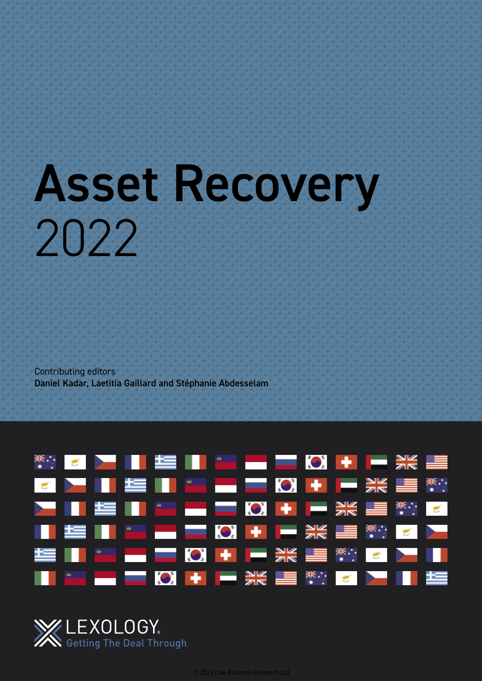# Asset Recovery 2022

Contributing editors Daniel Kadar, Laetitia Gaillard and Stéphanie Abdesselam



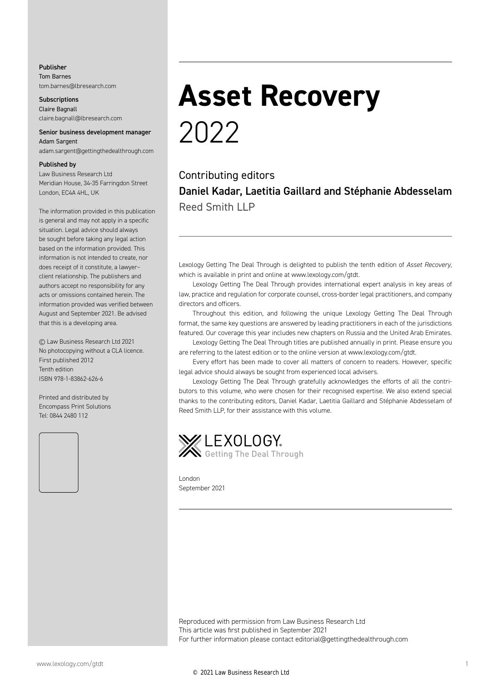#### Publisher Tom Barnes tom.barnes@lbresearch.com

**Subscriptions** Claire Bagnall claire.bagnall@lbresearch.com

#### Senior business development manager Adam Sargent

adam.sargent@gettingthedealthrough.com

#### Published by

Law Business Research Ltd Meridian House, 34-35 Farringdon Street London, EC4A 4HL, UK

The information provided in this publication is general and may not apply in a specific situation. Legal advice should always be sought before taking any legal action based on the information provided. This information is not intended to create, nor does receipt of it constitute, a lawyer– client relationship. The publishers and authors accept no responsibility for any acts or omissions contained herein. The information provided was verified between August and September 2021. Be advised that this is a developing area.

© Law Business Research Ltd 2021 No photocopying without a CLA licence. First published 2012 Tenth edition ISBN 978-1-83862-626-6

Printed and distributed by Encompass Print Solutions Tel: 0844 2480 112



### **Asset Recovery** 2022

Contributing editors Daniel Kadar, Laetitia Gaillard and Stéphanie Abdesselam Reed Smith LLP

Lexology Getting The Deal Through is delighted to publish the tenth edition of *Asset Recovery*, which is available in print and online at www.lexology.com/gtdt.

Lexology Getting The Deal Through provides international expert analysis in key areas of law, practice and regulation for corporate counsel, cross-border legal practitioners, and company directors and officers.

Throughout this edition, and following the unique Lexology Getting The Deal Through format, the same key questions are answered by leading practitioners in each of the jurisdictions featured. Our coverage this year includes new chapters on Russia and the United Arab Emirates.

Lexology Getting The Deal Through titles are published annually in print. Please ensure you are referring to the latest edition or to the online version at www.lexology.com/gtdt.

Every effort has been made to cover all matters of concern to readers. However, specific legal advice should always be sought from experienced local advisers.

Lexology Getting The Deal Through gratefully acknowledges the efforts of all the contributors to this volume, who were chosen for their recognised expertise. We also extend special thanks to the contributing editors, Daniel Kadar, Laetitia Gaillard and Stéphanie Abdesselam of Reed Smith LLP, for their assistance with this volume.



London September 2021

Reproduced with permission from Law Business Research Ltd This article was first published in September 2021 For further information please contact editorial@gettingthedealthrough.com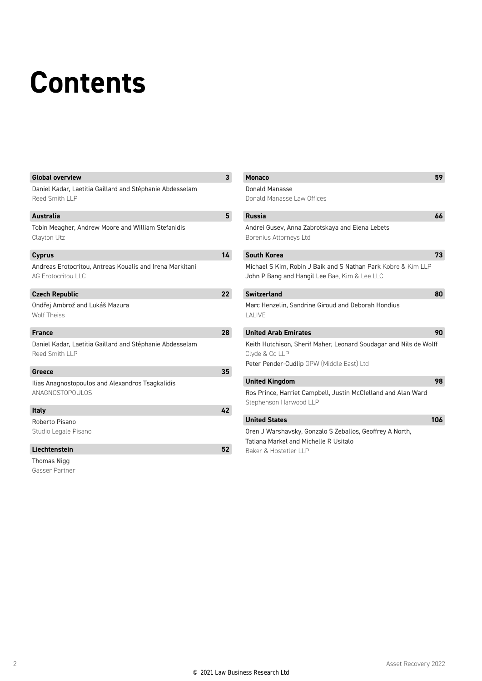## **Contents**

| <b>Global overview</b>                                                                | $\mathbf{3}$   | <b>Monaco</b>                                                                                                                    | 59  |
|---------------------------------------------------------------------------------------|----------------|----------------------------------------------------------------------------------------------------------------------------------|-----|
| Daniel Kadar, Laetitia Gaillard and Stéphanie Abdesselam<br>Reed Smith LLP            |                | Donald Manasse<br>Donald Manasse Law Offices                                                                                     |     |
| <b>Australia</b>                                                                      | $5\phantom{1}$ | <b>Russia</b>                                                                                                                    | 66  |
| Tobin Meagher, Andrew Moore and William Stefanidis<br>Clayton Utz                     |                | Andrei Gusev, Anna Zabrotskaya and Elena Lebets<br>Borenius Attorneys Ltd                                                        |     |
| <b>Cyprus</b>                                                                         | 14             | <b>South Korea</b>                                                                                                               | 73  |
| Andreas Erotocritou, Antreas Koualis and Irena Markitani<br><b>AG Erotocritou LLC</b> |                | Michael S Kim, Robin J Baik and S Nathan Park Kobre & Kim LLP<br>John P Bang and Hangil Lee Bae, Kim & Lee LLC                   |     |
| <b>Czech Republic</b>                                                                 | 22             | <b>Switzerland</b>                                                                                                               | 80  |
| Ondřej Ambrož and Lukáš Mazura<br><b>Wolf Theiss</b>                                  |                | Marc Henzelin, Sandrine Giroud and Deborah Hondius<br>LALIVE                                                                     |     |
| <b>France</b>                                                                         | 28             | <b>United Arab Emirates</b>                                                                                                      | 90  |
| Daniel Kadar, Laetitia Gaillard and Stéphanie Abdesselam<br>Reed Smith LLP            |                | Keith Hutchison, Sherif Maher, Leonard Soudagar and Nils de Wolff<br>Clyde & Co LLP<br>Peter Pender-Cudlip GPW (Middle East) Ltd |     |
| Greece                                                                                | 35             |                                                                                                                                  |     |
| Ilias Anagnostopoulos and Alexandros Tsagkalidis<br>ANAGNOSTOPOULOS                   |                | <b>United Kingdom</b><br>Ros Prince, Harriet Campbell, Justin McClelland and Alan Ward<br>Stephenson Harwood LLP                 | 98  |
| <b>Italy</b>                                                                          | 42             |                                                                                                                                  |     |
| Roberto Pisano<br>Studio Legale Pisano                                                |                | <b>United States</b><br>Oren J Warshavsky, Gonzalo S Zeballos, Geoffrey A North,<br>Tatiana Markel and Michelle R Usitalo        | 106 |
| Liechtenstein                                                                         | 52             | Baker & Hostetler I I P                                                                                                          |     |
| Thomas Nigg                                                                           |                |                                                                                                                                  |     |

Gasser Partner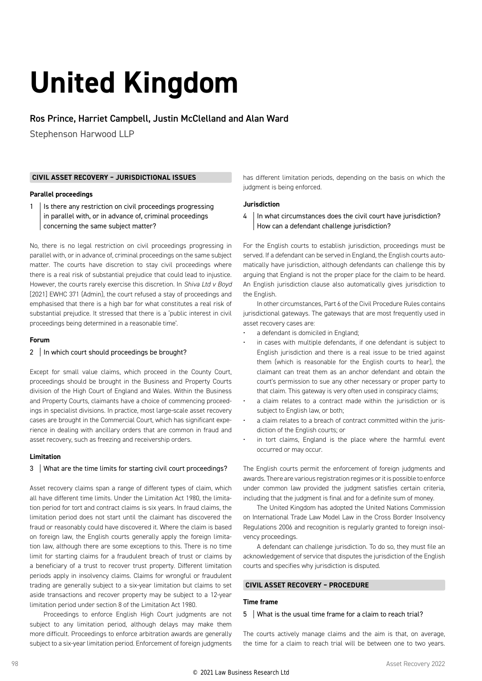# **United Kingdom**

#### Ros Prince, Harriet Campbell, Justin McClelland and Alan Ward

Stephenson Harwood LLP

#### **CIVIL ASSET RECOVERY – JURISDICTIONAL ISSUES**

#### **Parallel proceedings**

 $1$  | Is there any restriction on civil proceedings progressing in parallel with, or in advance of, criminal proceedings concerning the same subject matter?

No, there is no legal restriction on civil proceedings progressing in parallel with, or in advance of, criminal proceedings on the same subject matter. The courts have discretion to stay civil proceedings where there is a real risk of substantial prejudice that could lead to injustice. However, the courts rarely exercise this discretion. In *Shiva Ltd v Boyd* [2021] EWHC 371 (Admin), the court refused a stay of proceedings and emphasised that there is a high bar for what constitutes a real risk of substantial prejudice. It stressed that there is a 'public interest in civil proceedings being determined in a reasonable time'.

#### **Forum**

#### 2 | In which court should proceedings be brought?

Except for small value claims, which proceed in the County Court, proceedings should be brought in the Business and Property Courts division of the High Court of England and Wales. Within the Business and Property Courts, claimants have a choice of commencing proceedings in specialist divisions. In practice, most large-scale asset recovery cases are brought in the Commercial Court, which has significant experience in dealing with ancillary orders that are common in fraud and asset recovery, such as freezing and receivership orders.

#### **Limitation**

#### 3 What are the time limits for starting civil court proceedings?

Asset recovery claims span a range of different types of claim, which all have different time limits. Under the Limitation Act 1980, the limitation period for tort and contract claims is six years. In fraud claims, the limitation period does not start until the claimant has discovered the fraud or reasonably could have discovered it. Where the claim is based on foreign law, the English courts generally apply the foreign limitation law, although there are some exceptions to this. There is no time limit for starting claims for a fraudulent breach of trust or claims by a beneficiary of a trust to recover trust property. Different limitation periods apply in insolvency claims. Claims for wrongful or fraudulent trading are generally subject to a six-year limitation but claims to set aside transactions and recover property may be subject to a 12-year limitation period under section 8 of the Limitation Act 1980.

Proceedings to enforce English High Court judgments are not subject to any limitation period, although delays may make them more difficult. Proceedings to enforce arbitration awards are generally subject to a six-year limitation period. Enforcement of foreign judgments

has different limitation periods, depending on the basis on which the judgment is being enforced.

#### **Jurisdiction**

4 | In what circumstances does the civil court have jurisdiction? How can a defendant challenge jurisdiction?

For the English courts to establish jurisdiction, proceedings must be served. If a defendant can be served in England, the English courts automatically have jurisdiction, although defendants can challenge this by arguing that England is not the proper place for the claim to be heard. An English jurisdiction clause also automatically gives jurisdiction to the English.

In other circumstances, Part 6 of the Civil Procedure Rules contains jurisdictional gateways. The gateways that are most frequently used in asset recovery cases are:

- a defendant is domiciled in England;
- in cases with multiple defendants, if one defendant is subject to English jurisdiction and there is a real issue to be tried against them (which is reasonable for the English courts to hear), the claimant can treat them as an anchor defendant and obtain the court's permission to sue any other necessary or proper party to that claim. This gateway is very often used in conspiracy claims;
- a claim relates to a contract made within the jurisdiction or is subject to English law, or both;
- a claim relates to a breach of contract committed within the jurisdiction of the English courts; or
- in tort claims, England is the place where the harmful event occurred or may occur.

The English courts permit the enforcement of foreign judgments and awards. There are various registration regimes or it is possible to enforce under common law provided the judgment satisfies certain criteria, including that the judgment is final and for a definite sum of money.

The United Kingdom has adopted the United Nations Commission on International Trade Law Model Law in the Cross Border Insolvency Regulations 2006 and recognition is regularly granted to foreign insolvency proceedings.

A defendant can challenge jurisdiction. To do so, they must file an acknowledgement of service that disputes the jurisdiction of the English courts and specifies why jurisdiction is disputed.

#### **CIVIL ASSET RECOVERY – PROCEDURE**

#### **Time frame**

#### 5 What is the usual time frame for a claim to reach trial?

The courts actively manage claims and the aim is that, on average, the time for a claim to reach trial will be between one to two years.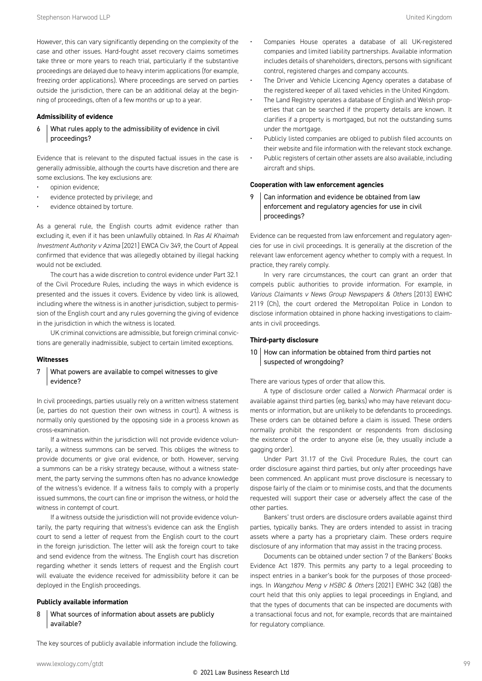However, this can vary significantly depending on the complexity of the case and other issues. Hard-fought asset recovery claims sometimes take three or more years to reach trial, particularly if the substantive proceedings are delayed due to heavy interim applications (for example, freezing order applications). Where proceedings are served on parties outside the jurisdiction, there can be an additional delay at the beginning of proceedings, often of a few months or up to a year.

#### **Admissibility of evidence**

 $6$  What rules apply to the admissibility of evidence in civil proceedings?

Evidence that is relevant to the disputed factual issues in the case is generally admissible, although the courts have discretion and there are some exclusions. The key exclusions are:

- opinion evidence;
- evidence protected by privilege; and
- evidence obtained by torture.

As a general rule, the English courts admit evidence rather than excluding it, even if it has been unlawfully obtained. In *Ras Al Khaimah Investment Authority v Azima* [2021] EWCA Civ 349, the Court of Appeal confirmed that evidence that was allegedly obtained by illegal hacking would not be excluded.

The court has a wide discretion to control evidence under Part 32.1 of the Civil Procedure Rules, including the ways in which evidence is presented and the issues it covers. Evidence by video link is allowed, including where the witness is in another jurisdiction, subject to permission of the English court and any rules governing the giving of evidence in the jurisdiction in which the witness is located.

UK criminal convictions are admissible, but foreign criminal convictions are generally inadmissible, subject to certain limited exceptions.

#### **Witnesses**

#### 7 | What powers are available to compel witnesses to give evidence?

In civil proceedings, parties usually rely on a written witness statement (ie, parties do not question their own witness in court). A witness is normally only questioned by the opposing side in a process known as cross-examination.

If a witness within the jurisdiction will not provide evidence voluntarily, a witness summons can be served. This obliges the witness to provide documents or give oral evidence, or both. However, serving a summons can be a risky strategy because, without a witness statement, the party serving the summons often has no advance knowledge of the witness's evidence. If a witness fails to comply with a properly issued summons, the court can fine or imprison the witness, or hold the witness in contempt of court.

If a witness outside the jurisdiction will not provide evidence voluntarily, the party requiring that witness's evidence can ask the English court to send a letter of request from the English court to the court in the foreign jurisdiction. The letter will ask the foreign court to take and send evidence from the witness. The English court has discretion regarding whether it sends letters of request and the English court will evaluate the evidence received for admissibility before it can be deployed in the English proceedings.

#### **Publicly available information**

#### 8 | What sources of information about assets are publicly available?

The key sources of publicly available information include the following.

- Companies House operates a database of all UK-registered companies and limited liability partnerships. Available information includes details of shareholders, directors, persons with significant control, registered charges and company accounts.
- The Driver and Vehicle Licencing Agency operates a database of the registered keeper of all taxed vehicles in the United Kingdom.
- The Land Registry operates a database of English and Welsh properties that can be searched if the property details are known. It clarifies if a property is mortgaged, but not the outstanding sums under the mortgage.
- Publicly listed companies are obliged to publish filed accounts on their website and file information with the relevant stock exchange.
- Public registers of certain other assets are also available, including aircraft and ships.

#### **Cooperation with law enforcement agencies**

9 Can information and evidence be obtained from law enforcement and regulatory agencies for use in civil proceedings?

Evidence can be requested from law enforcement and regulatory agencies for use in civil proceedings. It is generally at the discretion of the relevant law enforcement agency whether to comply with a request. In practice, they rarely comply.

In very rare circumstances, the court can grant an order that compels public authorities to provide information. For example, in *Various Claimants v News Group Newspapers & Others* [2013] EWHC 2119 (Ch), the court ordered the Metropolitan Police in London to disclose information obtained in phone hacking investigations to claimants in civil proceedings.

#### **Third-party disclosure**

#### 10 How can information be obtained from third parties not suspected of wrongdoing?

There are various types of order that allow this.

A type of disclosure order called a *Norwich Pharmacal* order is available against third parties (eg, banks) who may have relevant documents or information, but are unlikely to be defendants to proceedings. These orders can be obtained before a claim is issued. These orders normally prohibit the respondent or respondents from disclosing the existence of the order to anyone else (ie, they usually include a gagging order).

Under Part 31.17 of the Civil Procedure Rules, the court can order disclosure against third parties, but only after proceedings have been commenced. An applicant must prove disclosure is necessary to dispose fairly of the claim or to minimise costs, and that the documents requested will support their case or adversely affect the case of the other parties.

Bankers' trust orders are disclosure orders available against third parties, typically banks. They are orders intended to assist in tracing assets where a party has a proprietary claim. These orders require disclosure of any information that may assist in the tracing process.

Documents can be obtained under section 7 of the Bankers' Books Evidence Act 1879. This permits any party to a legal proceeding to inspect entries in a banker's book for the purposes of those proceedings. In *Wangzhou Meng v HSBC & Others* [2021] EWHC 342 (QB) the court held that this only applies to legal proceedings in England, and that the types of documents that can be inspected are documents with a transactional focus and not, for example, records that are maintained for regulatory compliance.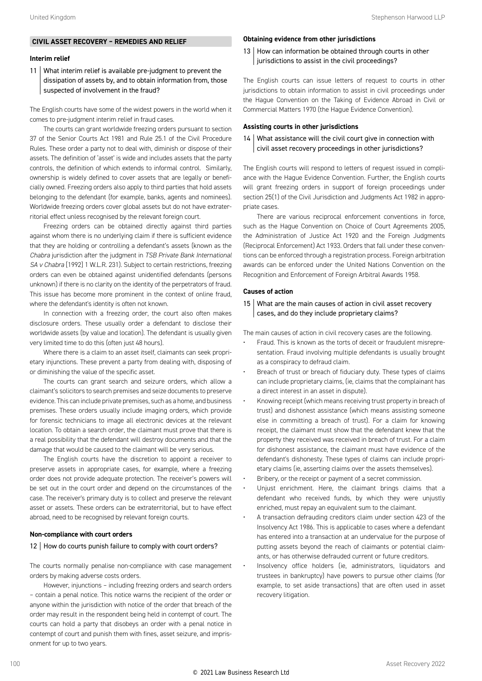#### **CIVIL ASSET RECOVERY – REMEDIES AND RELIEF**

#### **Interim relief**

11 What interim relief is available pre-judgment to prevent the dissipation of assets by, and to obtain information from, those suspected of involvement in the fraud?

The English courts have some of the widest powers in the world when it comes to pre-judgment interim relief in fraud cases.

The courts can grant worldwide freezing orders pursuant to section 37 of the Senior Courts Act 1981 and Rule 25.1 of the Civil Procedure Rules. These order a party not to deal with, diminish or dispose of their assets. The definition of 'asset' is wide and includes assets that the party controls, the definition of which extends to informal control. Similarly, ownership is widely defined to cover assets that are legally or beneficially owned. Freezing orders also apply to third parties that hold assets belonging to the defendant (for example, banks, agents and nominees). Worldwide freezing orders cover global assets but do not have extraterritorial effect unless recognised by the relevant foreign court.

Freezing orders can be obtained directly against third parties against whom there is no underlying claim if there is sufficient evidence that they are holding or controlling a defendant's assets (known as the *Chabra* jurisdiction after the judgment in *TSB Private Bank International SA v Chabra* [1992] 1 W.L.R. 231). Subject to certain restrictions, freezing orders can even be obtained against unidentified defendants (persons unknown) if there is no clarity on the identity of the perpetrators of fraud. This issue has become more prominent in the context of online fraud, where the defendant's identity is often not known.

In connection with a freezing order, the court also often makes disclosure orders. These usually order a defendant to disclose their worldwide assets (by value and location). The defendant is usually given very limited time to do this (often just 48 hours).

Where there is a claim to an asset itself, claimants can seek proprietary injunctions. These prevent a party from dealing with, disposing of or diminishing the value of the specific asset.

The courts can grant search and seizure orders, which allow a claimant's solicitors to search premises and seize documents to preserve evidence. This can include private premises, such as a home, and business premises. These orders usually include imaging orders, which provide for forensic technicians to image all electronic devices at the relevant location. To obtain a search order, the claimant must prove that there is a real possibility that the defendant will destroy documents and that the damage that would be caused to the claimant will be very serious.

The English courts have the discretion to appoint a receiver to preserve assets in appropriate cases, for example, where a freezing order does not provide adequate protection. The receiver's powers will be set out in the court order and depend on the circumstances of the case. The receiver's primary duty is to collect and preserve the relevant asset or assets. These orders can be extraterritorial, but to have effect abroad, need to be recognised by relevant foreign courts.

#### **Non-compliance with court orders**

#### 12 | How do courts punish failure to comply with court orders?

The courts normally penalise non-compliance with case management orders by making adverse costs orders.

However, injunctions – including freezing orders and search orders – contain a penal notice. This notice warns the recipient of the order or anyone within the jurisdiction with notice of the order that breach of the order may result in the respondent being held in contempt of court. The courts can hold a party that disobeys an order with a penal notice in contempt of court and punish them with fines, asset seizure, and imprisonment for up to two years.

#### **Obtaining evidence from other jurisdictions**

13 How can information be obtained through courts in other jurisdictions to assist in the civil proceedings?

The English courts can issue letters of request to courts in other jurisdictions to obtain information to assist in civil proceedings under the Hague Convention on the Taking of Evidence Abroad in Civil or Commercial Matters 1970 (the Hague Evidence Convention).

#### **Assisting courts in other jurisdictions**

#### $14$  What assistance will the civil court give in connection with civil asset recovery proceedings in other jurisdictions?

The English courts will respond to letters of request issued in compliance with the Hague Evidence Convention. Further, the English courts will grant freezing orders in support of foreign proceedings under section 25(1) of the Civil Jurisdiction and Judgments Act 1982 in appropriate cases.

There are various reciprocal enforcement conventions in force, such as the Hague Convention on Choice of Court Agreements 2005, the Administration of Justice Act 1920 and the Foreign Judgments (Reciprocal Enforcement) Act 1933. Orders that fall under these conventions can be enforced through a registration process. Foreign arbitration awards can be enforced under the United Nations Convention on the Recognition and Enforcement of Foreign Arbitral Awards 1958.

#### **Causes of action**

15 What are the main causes of action in civil asset recovery cases, and do they include proprietary claims?

The main causes of action in civil recovery cases are the following.

- Fraud. This is known as the torts of deceit or fraudulent misrepresentation. Fraud involving multiple defendants is usually brought as a conspiracy to defraud claim.
- Breach of trust or breach of fiduciary duty. These types of claims can include proprietary claims, (ie, claims that the complainant has a direct interest in an asset in dispute).
- Knowing receipt (which means receiving trust property in breach of trust) and dishonest assistance (which means assisting someone else in committing a breach of trust). For a claim for knowing receipt, the claimant must show that the defendant knew that the property they received was received in breach of trust. For a claim for dishonest assistance, the claimant must have evidence of the defendant's dishonesty. These types of claims can include proprietary claims (ie, asserting claims over the assets themselves).
- Bribery, or the receipt or payment of a secret commission.
- Unjust enrichment. Here, the claimant brings claims that a defendant who received funds, by which they were unjustly enriched, must repay an equivalent sum to the claimant.
- A transaction defrauding creditors claim under section 423 of the Insolvency Act 1986. This is applicable to cases where a defendant has entered into a transaction at an undervalue for the purpose of putting assets beyond the reach of claimants or potential claimants, or has otherwise defrauded current or future creditors.
- Insolvency office holders (ie, administrators, liquidators and trustees in bankruptcy) have powers to pursue other claims (for example, to set aside transactions) that are often used in asset recovery litigation.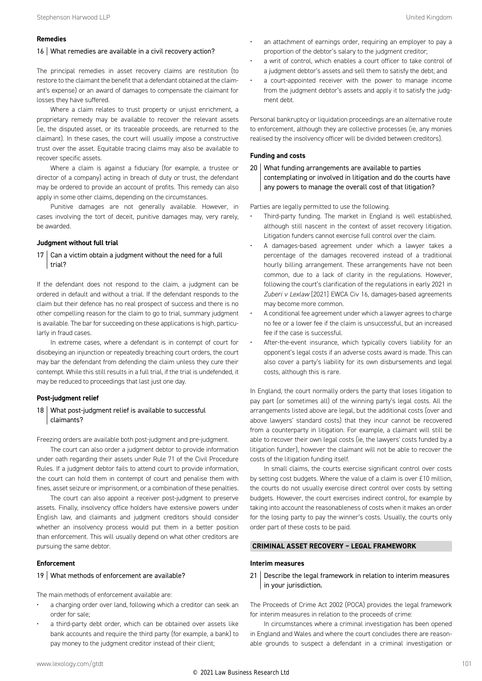#### **Remedies**

#### 16 What remedies are available in a civil recovery action?

The principal remedies in asset recovery claims are restitution (to restore to the claimant the benefit that a defendant obtained at the claimant's expense) or an award of damages to compensate the claimant for losses they have suffered.

Where a claim relates to trust property or unjust enrichment, a proprietary remedy may be available to recover the relevant assets (ie, the disputed asset, or its traceable proceeds, are returned to the claimant). In these cases, the court will usually impose a constructive trust over the asset. Equitable tracing claims may also be available to recover specific assets.

Where a claim is against a fiduciary (for example, a trustee or director of a company) acting in breach of duty or trust, the defendant may be ordered to provide an account of profits. This remedy can also apply in some other claims, depending on the circumstances.

Punitive damages are not generally available. However, in cases involving the tort of deceit, punitive damages may, very rarely, be awarded.

#### **Judgment without full trial**

 $17$  Can a victim obtain a judgment without the need for a full trial?

If the defendant does not respond to the claim, a judgment can be ordered in default and without a trial. If the defendant responds to the claim but their defence has no real prospect of success and there is no other compelling reason for the claim to go to trial, summary judgment is available. The bar for succeeding on these applications is high, particularly in fraud cases.

In extreme cases, where a defendant is in contempt of court for disobeying an injunction or repeatedly breaching court orders, the court may bar the defendant from defending the claim unless they cure their contempt. While this still results in a full trial, if the trial is undefended, it may be reduced to proceedings that last just one day.

#### **Post-judgment relief**

#### 18 What post-judgment relief is available to successful claimants?

Freezing orders are available both post-judgment and pre-judgment.

The court can also order a judgment debtor to provide information under oath regarding their assets under Rule 71 of the Civil Procedure Rules. If a judgment debtor fails to attend court to provide information, the court can hold them in contempt of court and penalise them with fines, asset seizure or imprisonment, or a combination of these penalties.

The court can also appoint a receiver post-judgment to preserve assets. Finally, insolvency office holders have extensive powers under English law, and claimants and judgment creditors should consider whether an insolvency process would put them in a better position than enforcement. This will usually depend on what other creditors are pursuing the same debtor.

#### **Enforcement**

#### 19 What methods of enforcement are available?

The main methods of enforcement available are:

- a charging order over land, following which a creditor can seek an order for sale;
- a third-party debt order, which can be obtained over assets like bank accounts and require the third party (for example, a bank) to pay money to the judgment creditor instead of their client;
- an attachment of earnings order, requiring an employer to pay a proportion of the debtor's salary to the judgment creditor;
- a writ of control, which enables a court officer to take control of a judgment debtor's assets and sell them to satisfy the debt; and
- a court-appointed receiver with the power to manage income from the judgment debtor's assets and apply it to satisfy the judgment debt.

Personal bankruptcy or liquidation proceedings are an alternative route to enforcement, although they are collective processes (ie, any monies realised by the insolvency officer will be divided between creditors).

#### **Funding and costs**

20 What funding arrangements are available to parties contemplating or involved in litigation and do the courts have any powers to manage the overall cost of that litigation?

Parties are legally permitted to use the following.

- Third-party funding. The market in England is well established, although still nascent in the context of asset recovery litigation. Litigation funders cannot exercise full control over the claim.
- A damages-based agreement under which a lawyer takes a percentage of the damages recovered instead of a traditional hourly billing arrangement. These arrangements have not been common, due to a lack of clarity in the regulations. However, following the court's clarification of the regulations in early 2021 in *Zuberi v Lexlaw* [2021] EWCA Civ 16, damages-based agreements may become more common.
- A conditional fee agreement under which a lawyer agrees to charge no fee or a lower fee if the claim is unsuccessful, but an increased fee if the case is successful.
- After-the-event insurance, which typically covers liability for an opponent's legal costs if an adverse costs award is made. This can also cover a party's liability for its own disbursements and legal costs, although this is rare.

In England, the court normally orders the party that loses litigation to pay part (or sometimes all) of the winning party's legal costs. All the arrangements listed above are legal, but the additional costs (over and above lawyers' standard costs) that they incur cannot be recovered from a counterparty in litigation. For example, a claimant will still be able to recover their own legal costs (ie, the lawyers' costs funded by a litigation funder), however the claimant will not be able to recover the costs of the litigation funding itself.

In small claims, the courts exercise significant control over costs by setting cost budgets. Where the value of a claim is over £10 million, the courts do not usually exercise direct control over costs by setting budgets. However, the court exercises indirect control, for example by taking into account the reasonableness of costs when it makes an order for the losing party to pay the winner's costs. Usually, the courts only order part of these costs to be paid.

#### **CRIMINAL ASSET RECOVERY – LEGAL FRAMEWORK**

#### **Interim measures**

21 | Describe the legal framework in relation to interim measures in your jurisdiction.

The Proceeds of Crime Act 2002 (POCA) provides the legal framework for interim measures in relation to the proceeds of crime:

In circumstances where a criminal investigation has been opened in England and Wales and where the court concludes there are reasonable grounds to suspect a defendant in a criminal investigation or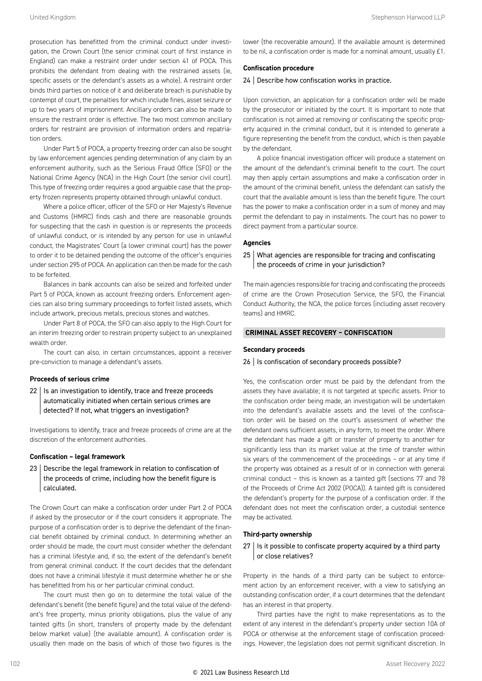prosecution has benefitted from the criminal conduct under investigation, the Crown Court (the senior criminal court of first instance in England) can make a restraint order under section 41 of POCA. This prohibits the defendant from dealing with the restrained assets (ie, specific assets or the defendant's assets as a whole). A restraint order binds third parties on notice of it and deliberate breach is punishable by contempt of court, the penalties for which include fines, asset seizure or up to two years of imprisonment. Ancillary orders can also be made to ensure the restraint order is effective. The two most common ancillary orders for restraint are provision of information orders and repatriation orders.

Under Part 5 of POCA, a property freezing order can also be sought by law enforcement agencies pending determination of any claim by an enforcement authority, such as the Serious Fraud Office (SFO) or the National Crime Agency (NCA) in the High Court (the senior civil court). This type of freezing order requires a good arguable case that the property frozen represents property obtained through unlawful conduct.

Where a police officer, officer of the SFO or Her Majesty's Revenue and Customs (HMRC) finds cash and there are reasonable grounds for suspecting that the cash in question is or represents the proceeds of unlawful conduct, or is intended by any person for use in unlawful conduct, the Magistrates' Court (a lower criminal court) has the power to order it to be detained pending the outcome of the officer's enquiries under section 295 of POCA. An application can then be made for the cash to be forfeited.

Balances in bank accounts can also be seized and forfeited under Part 5 of POCA, known as account freezing orders. Enforcement agencies can also bring summary proceedings to forfeit listed assets, which include artwork, precious metals, precious stones and watches.

Under Part 8 of POCA, the SFO can also apply to the High Court for an interim freezing order to restrain property subject to an unexplained wealth order.

The court can also, in certain circumstances, appoint a receiver pre-conviction to manage a defendant's assets.

#### **Proceeds of serious crime**

 $22$  | Is an investigation to identify, trace and freeze proceeds automatically initiated when certain serious crimes are detected? If not, what triggers an investigation?

Investigations to identify, trace and freeze proceeds of crime are at the discretion of the enforcement authorities.

#### **Confiscation – legal framework**

23 Describe the legal framework in relation to confiscation of the proceeds of crime, including how the benefit figure is calculated.

The Crown Court can make a confiscation order under Part 2 of POCA if asked by the prosecutor or if the court considers it appropriate. The purpose of a confiscation order is to deprive the defendant of the financial benefit obtained by criminal conduct. In determining whether an order should be made, the court must consider whether the defendant has a criminal lifestyle and, if so, the extent of the defendant's benefit from general criminal conduct. If the court decides that the defendant does not have a criminal lifestyle it must determine whether he or she has benefitted from his or her particular criminal conduct.

The court must then go on to determine the total value of the defendant's benefit (the benefit figure) and the total value of the defendant's free property, minus priority obligations, plus the value of any tainted gifts (in short, transfers of property made by the defendant below market value) (the available amount). A confiscation order is usually then made on the basis of which of those two figures is the

#### **Confiscation procedure**

#### 24 Describe how confiscation works in practice.

Upon conviction, an application for a confiscation order will be made by the prosecutor or initiated by the court. It is important to note that confiscation is not aimed at removing or confiscating the specific property acquired in the criminal conduct, but it is intended to generate a figure representing the benefit from the conduct, which is then payable by the defendant.

A police financial investigation officer will produce a statement on the amount of the defendant's criminal benefit to the court. The court may then apply certain assumptions and make a confiscation order in the amount of the criminal benefit, unless the defendant can satisfy the court that the available amount is less than the benefit figure. The court has the power to make a confiscation order in a sum of money and may permit the defendant to pay in instalments. The court has no power to direct payment from a particular source.

#### **Agencies**

25 | What agencies are responsible for tracing and confiscating the proceeds of crime in your jurisdiction?

The main agencies responsible for tracing and confiscating the proceeds of crime are the Crown Prosecution Service, the SFO, the Financial Conduct Authority, the NCA, the police forces (including asset recovery teams) and HMRC.

#### **CRIMINAL ASSET RECOVERY – CONFISCATION**

#### **Secondary proceeds**

#### 26 | Is confiscation of secondary proceeds possible?

Yes, the confiscation order must be paid by the defendant from the assets they have available; it is not targeted at specific assets. Prior to the confiscation order being made, an investigation will be undertaken into the defendant's available assets and the level of the confiscation order will be based on the court's assessment of whether the defendant owns sufficient assets, in any form, to meet the order. Where the defendant has made a gift or transfer of property to another for significantly less than its market value at the time of transfer within six years of the commencement of the proceedings – or at any time if the property was obtained as a result of or in connection with general criminal conduct – this is known as a tainted gift (sections 77 and 78 of the Proceeds of Crime Act 2002 (POCA)). A tainted gift is considered the defendant's property for the purpose of a confiscation order. If the defendant does not meet the confiscation order, a custodial sentence may be activated.

#### **Third-party ownership**

 $27$  | Is it possible to confiscate property acquired by a third party or close relatives?

Property in the hands of a third party can be subject to enforcement action by an enforcement receiver, with a view to satisfying an outstanding confiscation order, if a court determines that the defendant has an interest in that property.

Third parties have the right to make representations as to the extent of any interest in the defendant's property under section 10A of POCA or otherwise at the enforcement stage of confiscation proceedings. However, the legislation does not permit significant discretion. In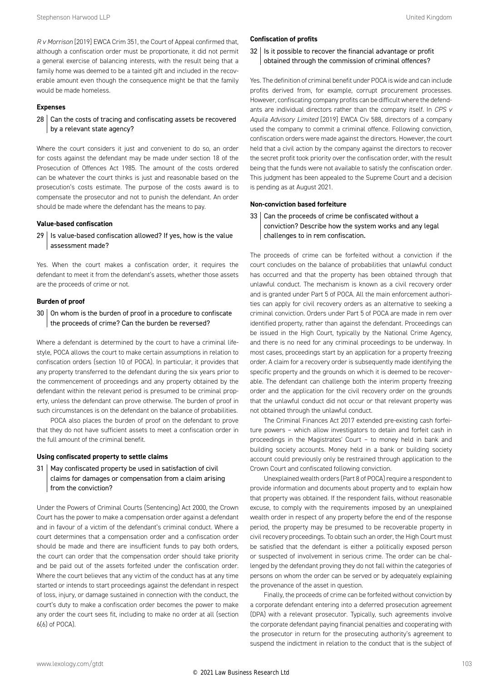*R v Morrison* [2019] EWCA Crim 351, the Court of Appeal confirmed that, although a confiscation order must be proportionate, it did not permit a general exercise of balancing interests, with the result being that a family home was deemed to be a tainted gift and included in the recoverable amount even though the consequence might be that the family would be made homeless.

#### **Expenses**

 $28$  Can the costs of tracing and confiscating assets be recovered by a relevant state agency?

Where the court considers it just and convenient to do so, an order for costs against the defendant may be made under section 18 of the Prosecution of Offences Act 1985. The amount of the costs ordered can be whatever the court thinks is just and reasonable based on the prosecution's costs estimate. The purpose of the costs award is to compensate the prosecutor and not to punish the defendant. An order should be made where the defendant has the means to pay.

#### **Value-based confiscation**

 $29$  | Is value-based confiscation allowed? If yes, how is the value assessment made?

Yes. When the court makes a confiscation order, it requires the defendant to meet it from the defendant's assets, whether those assets are the proceeds of crime or not.

#### **Burden of proof**

 $30$  On whom is the burden of proof in a procedure to confiscate the proceeds of crime? Can the burden be reversed?

Where a defendant is determined by the court to have a criminal lifestyle, POCA allows the court to make certain assumptions in relation to confiscation orders (section 10 of POCA). In particular, it provides that any property transferred to the defendant during the six years prior to the commencement of proceedings and any property obtained by the defendant within the relevant period is presumed to be criminal property, unless the defendant can prove otherwise. The burden of proof in such circumstances is on the defendant on the balance of probabilities.

POCA also places the burden of proof on the defendant to prove that they do not have sufficient assets to meet a confiscation order in the full amount of the criminal benefit.

#### **Using confiscated property to settle claims**

#### 31 | May confiscated property be used in satisfaction of civil claims for damages or compensation from a claim arising from the conviction?

Under the Powers of Criminal Courts (Sentencing) Act 2000, the Crown Court has the power to make a compensation order against a defendant and in favour of a victim of the defendant's criminal conduct. Where a court determines that a compensation order and a confiscation order should be made and there are insufficient funds to pay both orders, the court can order that the compensation order should take priority and be paid out of the assets forfeited under the confiscation order. Where the court believes that any victim of the conduct has at any time started or intends to start proceedings against the defendant in respect of loss, injury, or damage sustained in connection with the conduct, the court's duty to make a confiscation order becomes the power to make any order the court sees fit, including to make no order at all (section 6(6) of POCA).

#### **Confiscation of profits**

 $32$  | Is it possible to recover the financial advantage or profit obtained through the commission of criminal offences?

Yes. The definition of criminal benefit under POCA is wide and can include profits derived from, for example, corrupt procurement processes. However, confiscating company profits can be difficult where the defendants are individual directors rather than the company itself. In *CPS v Aquila Advisory Limited* [2019] EWCA Civ 588, directors of a company used the company to commit a criminal offence. Following conviction, confiscation orders were made against the directors. However, the court held that a civil action by the company against the directors to recover the secret profit took priority over the confiscation order, with the result being that the funds were not available to satisfy the confiscation order. This judgment has been appealed to the Supreme Court and a decision is pending as at August 2021.

#### **Non-conviction based forfeiture**

33 Can the proceeds of crime be confiscated without a conviction? Describe how the system works and any legal challenges to in rem confiscation.

The proceeds of crime can be forfeited without a conviction if the court concludes on the balance of probabilities that unlawful conduct has occurred and that the property has been obtained through that unlawful conduct. The mechanism is known as a civil recovery order and is granted under Part 5 of POCA. All the main enforcement authorities can apply for civil recovery orders as an alternative to seeking a criminal conviction. Orders under Part 5 of POCA are made in rem over identified property, rather than against the defendant. Proceedings can be issued in the High Court, typically by the National Crime Agency, and there is no need for any criminal proceedings to be underway. In most cases, proceedings start by an application for a property freezing order. A claim for a recovery order is subsequently made identifying the specific property and the grounds on which it is deemed to be recoverable. The defendant can challenge both the interim property freezing order and the application for the civil recovery order on the grounds that the unlawful conduct did not occur or that relevant property was not obtained through the unlawful conduct.

The Criminal Finances Act 2017 extended pre-existing cash forfeiture powers – which allow investigators to detain and forfeit cash in proceedings in the Magistrates' Court – to money held in bank and building society accounts. Money held in a bank or building society account could previously only be restrained through application to the Crown Court and confiscated following conviction.

Unexplained wealth orders (Part 8 of POCA) require a respondent to provide information and documents about property and to explain how that property was obtained. If the respondent fails, without reasonable excuse, to comply with the requirements imposed by an unexplained wealth order in respect of any property before the end of the response period, the property may be presumed to be recoverable property in civil recovery proceedings. To obtain such an order, the High Court must be satisfied that the defendant is either a politically exposed person or suspected of involvement in serious crime. The order can be challenged by the defendant proving they do not fall within the categories of persons on whom the order can be served or by adequately explaining the provenance of the asset in question.

Finally, the proceeds of crime can be forfeited without conviction by a corporate defendant entering into a deferred prosecution agreement (DPA) with a relevant prosecutor. Typically, such agreements involve the corporate defendant paying financial penalties and cooperating with the prosecutor in return for the prosecuting authority's agreement to suspend the indictment in relation to the conduct that is the subject of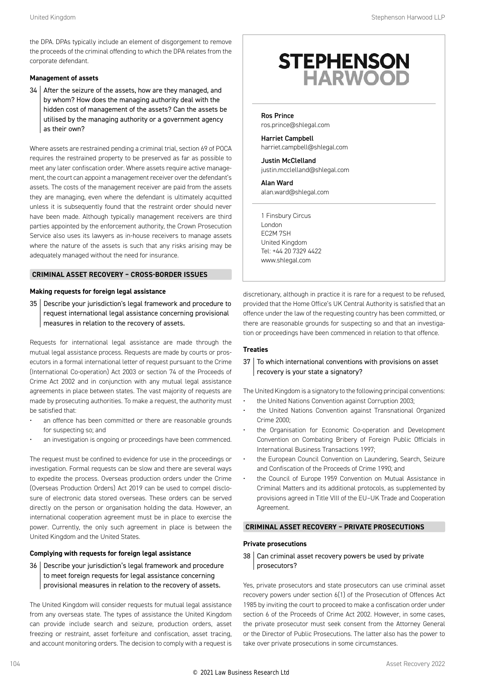the DPA. DPAs typically include an element of disgorgement to remove the proceeds of the criminal offending to which the DPA relates from the corporate defendant.

#### **Management of assets**

34 After the seizure of the assets, how are they managed, and by whom? How does the managing authority deal with the hidden cost of management of the assets? Can the assets be utilised by the managing authority or a government agency as their own?

Where assets are restrained pending a criminal trial, section 69 of POCA requires the restrained property to be preserved as far as possible to meet any later confiscation order. Where assets require active management, the court can appoint a management receiver over the defendant's assets. The costs of the management receiver are paid from the assets they are managing, even where the defendant is ultimately acquitted unless it is subsequently found that the restraint order should never have been made. Although typically management receivers are third parties appointed by the enforcement authority, the Crown Prosecution Service also uses its lawyers as in-house receivers to manage assets where the nature of the assets is such that any risks arising may be adequately managed without the need for insurance.

#### **CRIMINAL ASSET RECOVERY – CROSS-BORDER ISSUES**

#### **Making requests for foreign legal assistance**

35 Describe your jurisdiction's legal framework and procedure to request international legal assistance concerning provisional measures in relation to the recovery of assets.

Requests for international legal assistance are made through the mutual legal assistance process. Requests are made by courts or prosecutors in a formal international letter of request pursuant to the Crime (International Co-operation) Act 2003 or section 74 of the Proceeds of Crime Act 2002 and in conjunction with any mutual legal assistance agreements in place between states. The vast majority of requests are made by prosecuting authorities. To make a request, the authority must be satisfied that:

- an offence has been committed or there are reasonable grounds for suspecting so; and
- an investigation is ongoing or proceedings have been commenced.

The request must be confined to evidence for use in the proceedings or investigation. Formal requests can be slow and there are several ways to expedite the process. Overseas production orders under the Crime (Overseas Production Orders) Act 2019 can be used to compel disclosure of electronic data stored overseas. These orders can be served directly on the person or organisation holding the data. However, an international cooperation agreement must be in place to exercise the power. Currently, the only such agreement in place is between the United Kingdom and the United States.

#### **Complying with requests for foreign legal assistance**

36 Describe your jurisdiction's legal framework and procedure to meet foreign requests for legal assistance concerning provisional measures in relation to the recovery of assets.

The United Kingdom will consider requests for mutual legal assistance from any overseas state. The types of assistance the United Kingdom can provide include search and seizure, production orders, asset freezing or restraint, asset forfeiture and confiscation, asset tracing, and account monitoring orders. The decision to comply with a request is

### **STEPHENSON HARWOOD**

Ros Prince ros.prince@shlegal.com

Harriet Campbell harriet.campbell@shlegal.com

Justin McClelland justin.mcclelland@shlegal.com

Alan Ward alan.ward@shlegal.com

1 Finsbury Circus London EC2M 7SH United Kingdom Tel: +44 20 7329 4422 www.shlegal.com

discretionary, although in practice it is rare for a request to be refused, provided that the Home Office's UK Central Authority is satisfied that an offence under the law of the requesting country has been committed, or there are reasonable grounds for suspecting so and that an investigation or proceedings have been commenced in relation to that offence.

#### **Treaties**

37 To which international conventions with provisions on asset recovery is your state a signatory?

The United Kingdom is a signatory to the following principal conventions:

- the United Nations Convention against Corruption 2003;
- the United Nations Convention against Transnational Organized Crime 2000;
- the Organisation for Economic Co-operation and Development Convention on Combating Bribery of Foreign Public Officials in International Business Transactions 1997;
- the European Council Convention on Laundering, Search, Seizure and Confiscation of the Proceeds of Crime 1990; and
- the Council of Europe 1959 Convention on Mutual Assistance in Criminal Matters and its additional protocols, as supplemented by provisions agreed in Title VIII of the EU–UK Trade and Cooperation Agreement.

#### **CRIMINAL ASSET RECOVERY – PRIVATE PROSECUTIONS**

#### **Private prosecutions**

38 Can criminal asset recovery powers be used by private prosecutors?

Yes, private prosecutors and state prosecutors can use criminal asset recovery powers under section 6(1) of the Prosecution of Offences Act 1985 by inviting the court to proceed to make a confiscation order under section 6 of the Proceeds of Crime Act 2002. However, in some cases, the private prosecutor must seek consent from the Attorney General or the Director of Public Prosecutions. The latter also has the power to take over private prosecutions in some circumstances.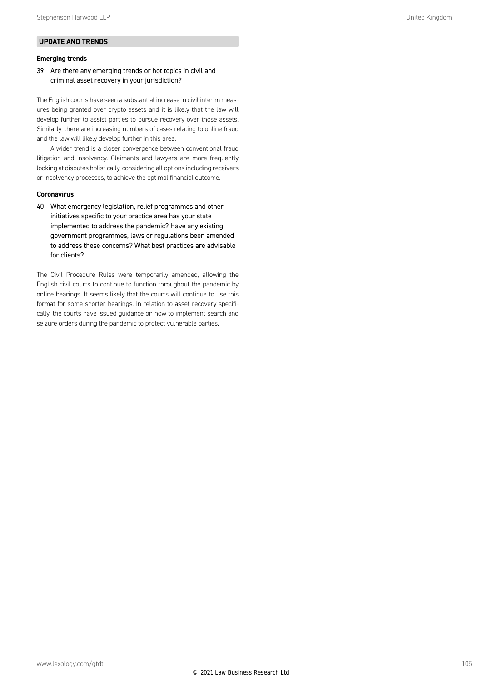#### **UPDATE AND TRENDS**

#### **Emerging trends**

 $39$  Are there any emerging trends or hot topics in civil and criminal asset recovery in your jurisdiction?

The English courts have seen a substantial increase in civil interim measures being granted over crypto assets and it is likely that the law will develop further to assist parties to pursue recovery over those assets. Similarly, there are increasing numbers of cases relating to online fraud and the law will likely develop further in this area.

A wider trend is a closer convergence between conventional fraud litigation and insolvency. Claimants and lawyers are more frequently looking at disputes holistically, considering all options including receivers or insolvency processes, to achieve the optimal financial outcome.

#### **Coronavirus**

40 What emergency legislation, relief programmes and other initiatives specific to your practice area has your state implemented to address the pandemic? Have any existing government programmes, laws or regulations been amended to address these concerns? What best practices are advisable for clients?

The Civil Procedure Rules were temporarily amended, allowing the English civil courts to continue to function throughout the pandemic by online hearings. It seems likely that the courts will continue to use this format for some shorter hearings. In relation to asset recovery specifically, the courts have issued guidance on how to implement search and seizure orders during the pandemic to protect vulnerable parties.